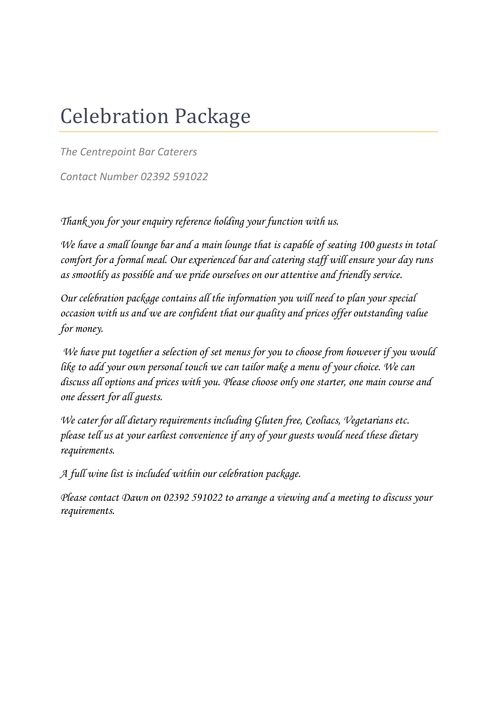# Celebration Package

*The Centrepoint Bar Caterers*

*Contact Number 02392 591022*

*Thank you for your enquiry reference holding your function with us.*

*We have a small lounge bar and a main lounge that is capable of seating 100 guests in total comfort for a formal meal. Our experienced bar and catering staff will ensure your day runs as smoothly as possible and we pride ourselves on our attentive and friendly service.* 

*Our celebration package contains all the information you will need to plan your special occasion with us and we are confident that our quality and prices offer outstanding value for money.* 

*We have put together a selection of set menus for you to choose from however if you would like to add your own personal touch we can tailor make a menu of your choice. We can discuss all options and prices with you. Please choose only one starter, one main course and one dessert for all guests.*

*We cater for all dietary requirements including Gluten free, Ceoliacs, Vegetarians etc. please tell us at your earliest convenience if any of your guests would need these dietary requirements.*

*A full wine list is included within our celebration package.*

*Please contact Dawn on 02392 591022 to arrange a viewing and a meeting to discuss your requirements.*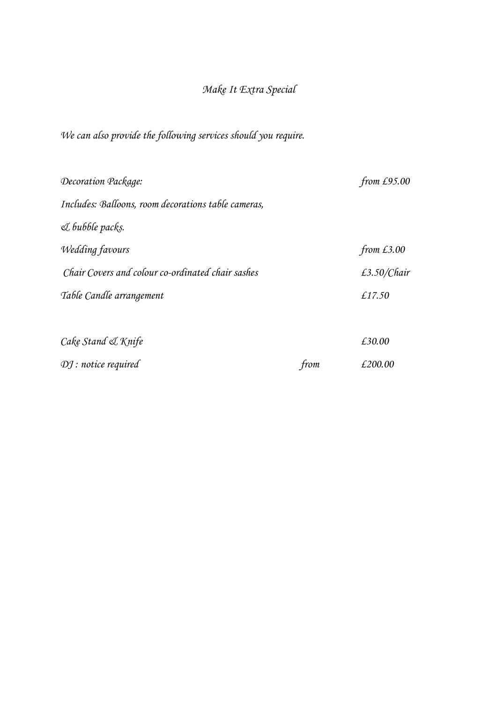## *Make It Extra Special*

*We can also provide the following services should you require.*

| Decoration Package:                                 |      | from $£95.00$  |
|-----------------------------------------------------|------|----------------|
| Includes: Balloons, room decorations table cameras, |      |                |
| & bubble packs.                                     |      |                |
| <b>Wedding favours</b>                              |      | from $£3.00$   |
| Chair Covers and colour co-ordinated chair sashes   |      | £3.50/ $Chair$ |
| Table Candle arrangement                            |      | £17.50         |
| Cake Stand & Knife                                  |      | £30.00         |
| $Dj$ : notice required                              | from | £200.00        |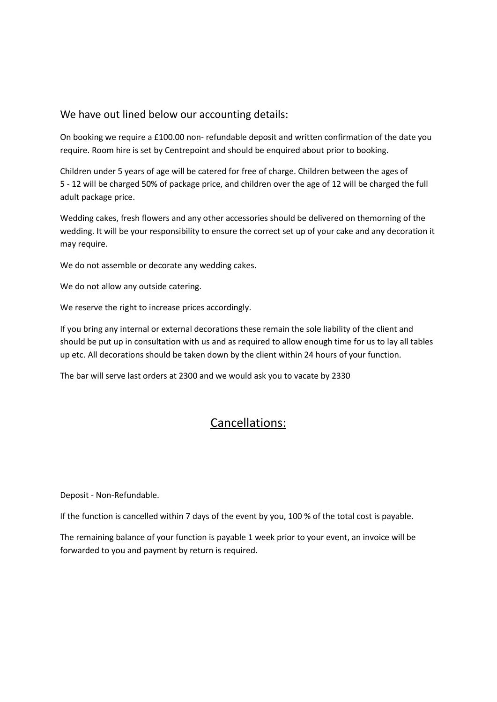#### We have out lined below our accounting details:

On booking we require a £100.00 non- refundable deposit and written confirmation of the date you require. Room hire is set by Centrepoint and should be enquired about prior to booking.

Children under 5 years of age will be catered for free of charge. Children between the ages of 5 - 12 will be charged 50% of package price, and children over the age of 12 will be charged the full adult package price.

Wedding cakes, fresh flowers and any other accessories should be delivered on themorning of the wedding. It will be your responsibility to ensure the correct set up of your cake and any decoration it may require.

We do not assemble or decorate any wedding cakes.

We do not allow any outside catering.

We reserve the right to increase prices accordingly.

If you bring any internal or external decorations these remain the sole liability of the client and should be put up in consultation with us and as required to allow enough time for us to lay all tables up etc. All decorations should be taken down by the client within 24 hours of your function.

The bar will serve last orders at 2300 and we would ask you to vacate by 2330

### Cancellations:

Deposit - Non-Refundable.

If the function is cancelled within 7 days of the event by you, 100 % of the total cost is payable.

The remaining balance of your function is payable 1 week prior to your event, an invoice will be forwarded to you and payment by return is required.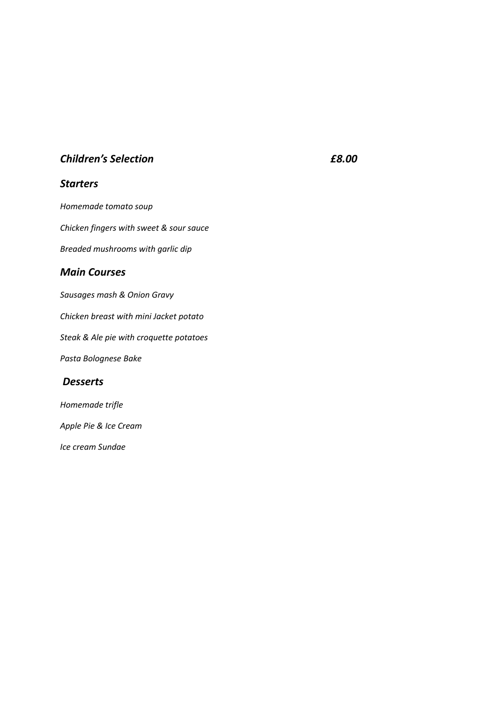#### *Children's Selection £8.00*

#### *Starters*

*Homemade tomato soup Chicken fingers with sweet & sour sauce Breaded mushrooms with garlic dip Main Courses Sausages mash & Onion Gravy Chicken breast with mini Jacket potato Steak & Ale pie with croquette potatoes Pasta Bolognese Bake*

#### *Desserts*

*Homemade trifle*

*Apple Pie & Ice Cream*

*Ice cream Sundae*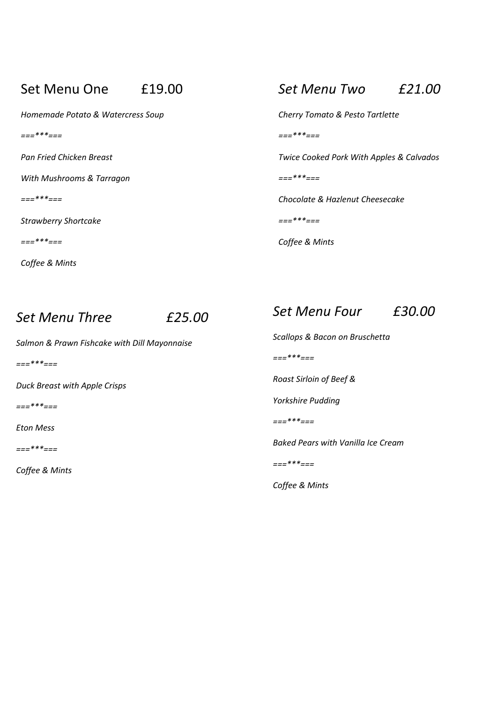### Set Menu One £19.00

*Homemade Potato & Watercress Soup*

*===\*\*\*===*

*Pan Fried Chicken Breast*

*With Mushrooms & Tarragon*

*===\*\*\*===*

*Strawberry Shortcake*

*===\*\*\*===*

*Coffee & Mints*

## *Set Menu Two £21.00*

*Cherry Tomato & Pesto Tartlette*

*===\*\*\*===*

*Twice Cooked Pork With Apples & Calvados*

*===\*\*\*===*

*Chocolate & Hazlenut Cheesecake*

*===\*\*\*===*

*Coffee & Mints*

## *Set Menu Three £25.00*

*Salmon & Prawn Fishcake with Dill Mayonnaise*

*===\*\*\*===*

*Duck Breast with Apple Crisps*

*===\*\*\*===*

*Eton Mess*

*===\*\*\*===*

*Coffee & Mints*

## *Set Menu Four £30.00*

*Scallops & Bacon on Bruschetta*

*===\*\*\*===*

*Roast Sirloin of Beef &* 

*Yorkshire Pudding*

*===\*\*\*===*

*Baked Pears with Vanilla Ice Cream*

*===\*\*\*===*

*Coffee & Mints*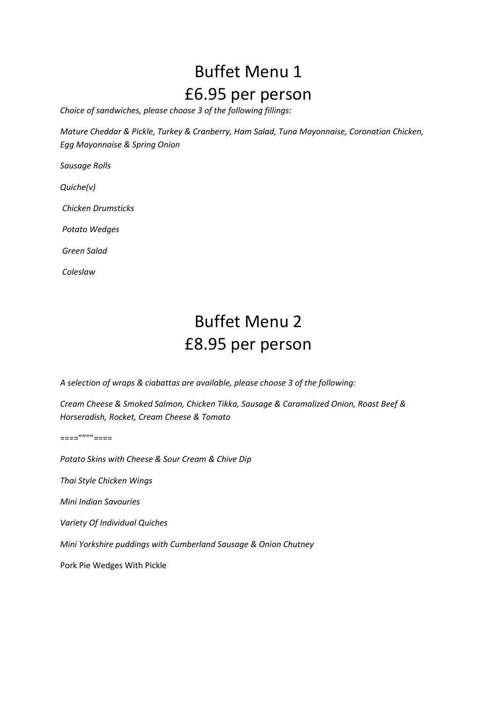# Buffet Menu 1 £6.95 per person

*Choice of sandwiches, please choose 3 of the following fillings:*

*Mature Cheddar & Pickle, Turkey & Cranberry, Ham Salad, Tuna Mayonnaise, Coronation Chicken, Egg Mayonnaise & Spring Onion*

*Sausage Rolls*

*Quiche(v)*

*Chicken Drumsticks*

*Potato Wedges*

*Green Salad*

*Coleslaw*

# Buffet Menu 2 £8.95 per person

*A selection of wraps & ciabattas are available, please choose 3 of the following:*

*Cream Cheese & Smoked Salmon, Chicken Tikka, Sausage & Caramalized Onion, Roast Beef & Horseradish, Rocket, Cream Cheese & Tomato*

====""""====

*Potato Skins with Cheese & Sour Cream & Chive Dip*

*Thai Style Chicken Wings*

*Mini Indian Savouries*

*Variety Of Individual Quiches*

*Mini Yorkshire puddings with Cumberland Sausage & Onion Chutney*

Pork Pie Wedges With Pickle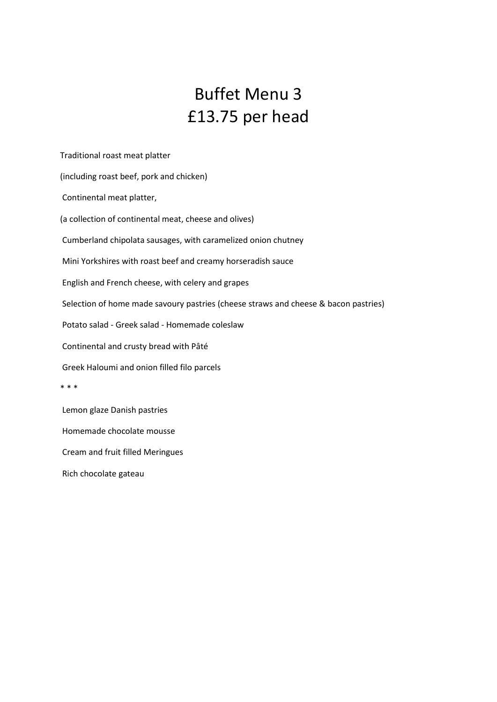## Buffet Menu 3 £13.75 per head

Traditional roast meat platter

(including roast beef, pork and chicken)

Continental meat platter,

(a collection of continental meat, cheese and olives)

Cumberland chipolata sausages, with caramelized onion chutney

Mini Yorkshires with roast beef and creamy horseradish sauce

English and French cheese, with celery and grapes

Selection of home made savoury pastries (cheese straws and cheese & bacon pastries)

Potato salad - Greek salad - Homemade coleslaw

Continental and crusty bread with Pâté

Greek Haloumi and onion filled filo parcels

\* \* \*

Lemon glaze Danish pastries

Homemade chocolate mousse

Cream and fruit filled Meringues

Rich chocolate gateau